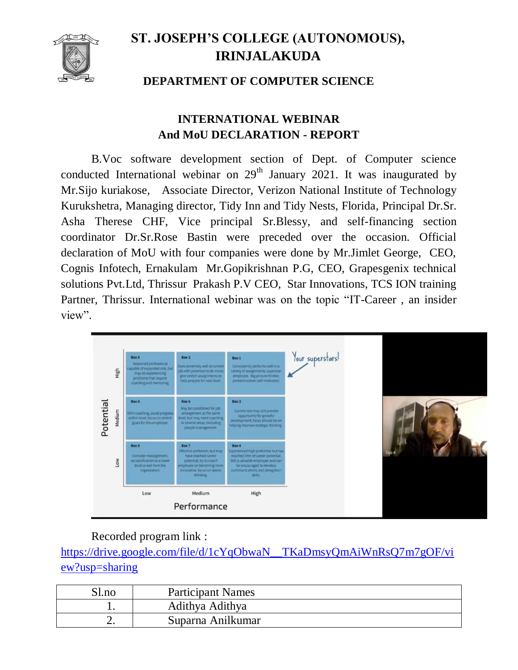

## **ST. JOSEPH'S COLLEGE (AUTONOMOUS), IRINJALAKUDA**

## **DEPARTMENT OF COMPUTER SCIENCE**

## **INTERNATIONAL WEBINAR And MoU DECLARATION - REPORT**

B.Voc software development section of Dept. of Computer science conducted International webinar on  $29<sup>th</sup>$  January 2021. It was inaugurated by Mr.Sijo kuriakose, Associate Director, Verizon National Institute of Technology Kurukshetra, Managing director, Tidy Inn and Tidy Nests, Florida, Principal Dr.Sr. Asha Therese CHF, Vice principal Sr.Blessy, and self-financing section coordinator Dr.Sr.Rose Bastin were preceded over the occasion. Official declaration of MoU with four companies were done by Mr.Jimlet George, CEO, Cognis Infotech, Ernakulam Mr.Gopikrishnan P.G, CEO, Grapesgenix technical solutions Pvt.Ltd, Thrissur Prakash P.V CEO, Star Innovations, TCS ION training Partner, Thrissur. International webinar was on the topic "IT-Career , an insider view".



## Recorded program link :

[https://drive.google.com/file/d/1cYqObwaN\\_\\_TKaDmsyQmAiWnRsQ7m7gOF/vi](https://drive.google.com/file/d/1cYqObwaN__TKaDmsyQmAiWnRsQ7m7gOF/view?usp=sharing) [ew?usp=sharing](https://drive.google.com/file/d/1cYqObwaN__TKaDmsyQmAiWnRsQ7m7gOF/view?usp=sharing)

| Sl.no    | <b>Participant Names</b> |
|----------|--------------------------|
|          | Adithya Adithya          |
| <u>.</u> | Suparna Anilkumar        |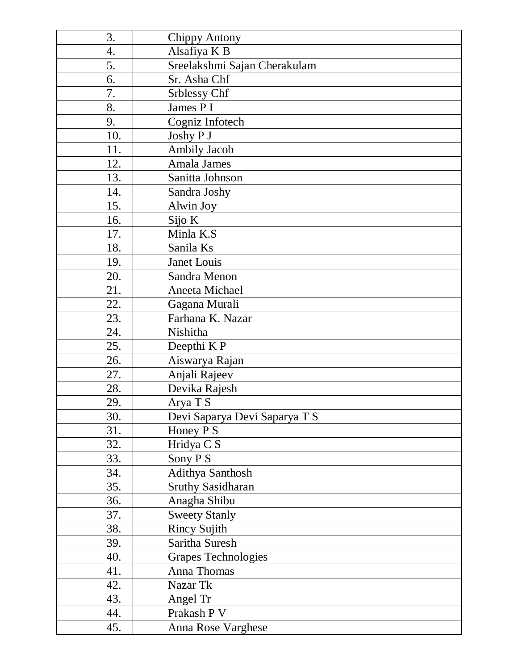| 3.  | <b>Chippy Antony</b>          |
|-----|-------------------------------|
| 4.  | Alsafiya K B                  |
| 5.  | Sreelakshmi Sajan Cherakulam  |
| 6.  | Sr. Asha Chf                  |
| 7.  | Srblessy Chf                  |
| 8.  | James P I                     |
| 9.  | Cogniz Infotech               |
| 10. | Joshy P J                     |
| 11. | <b>Ambily Jacob</b>           |
| 12. | Amala James                   |
| 13. | Sanitta Johnson               |
| 14. | Sandra Joshy                  |
| 15. | Alwin Joy                     |
| 16. | Sijo K                        |
| 17. | Minla K.S                     |
| 18. | Sanila Ks                     |
| 19. | Janet Louis                   |
| 20. | Sandra Menon                  |
| 21. | Aneeta Michael                |
| 22. | Gagana Murali                 |
| 23. | Farhana K. Nazar              |
| 24. | Nishitha                      |
| 25. | Deepthi K P                   |
| 26. | Aiswarya Rajan                |
| 27. | Anjali Rajeev                 |
| 28. | Devika Rajesh                 |
| 29. | Arya T S                      |
| 30. | Devi Saparya Devi Saparya T S |
| 31. | Honey P S                     |
| 32. | Hridya C S                    |
| 33. | Sony PS                       |
| 34. | <b>Adithya Santhosh</b>       |
| 35. | <b>Sruthy Sasidharan</b>      |
| 36. | Anagha Shibu                  |
| 37. | <b>Sweety Stanly</b>          |
| 38. | <b>Rincy Sujith</b>           |
| 39. | Saritha Suresh                |
| 40. | <b>Grapes Technologies</b>    |
| 41. | Anna Thomas                   |
| 42. | Nazar Tk                      |
| 43. | Angel Tr                      |
| 44. | Prakash P V                   |
| 45. | Anna Rose Varghese            |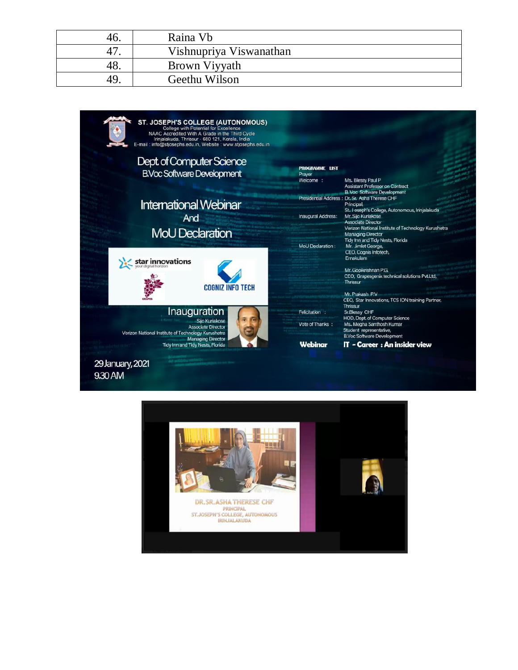| 46. | Raina Vb                |
|-----|-------------------------|
| 47. | Vishnupriya Viswanathan |
| 48. | Brown Viyyath           |
| 49  | Geethu Wilson           |